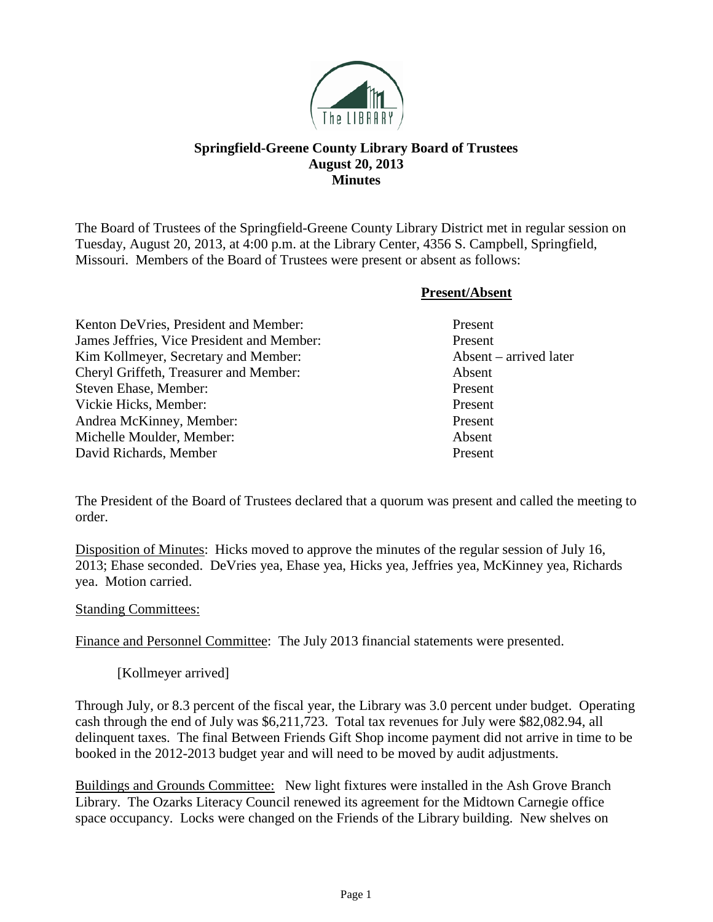

## **Springfield-Greene County Library Board of Trustees August 20, 2013 Minutes**

The Board of Trustees of the Springfield-Greene County Library District met in regular session on Tuesday, August 20, 2013, at 4:00 p.m. at the Library Center, 4356 S. Campbell, Springfield, Missouri. Members of the Board of Trustees were present or absent as follows:

|                                            | <b>Present/Absent</b>           |
|--------------------------------------------|---------------------------------|
| Kenton De Vries, President and Member:     | Present                         |
| James Jeffries, Vice President and Member: | Present                         |
| Kim Kollmeyer, Secretary and Member:       | $\Lambda$ bsent – arrived later |
| Cheryl Griffeth, Treasurer and Member:     | Absent                          |
| Steven Ehase, Member:                      | Present                         |
| Vickie Hicks, Member:                      | Present                         |
| Andrea McKinney, Member:                   | Present                         |
| Michelle Moulder, Member:                  | Absent                          |
| David Richards, Member                     | Present                         |

The President of the Board of Trustees declared that a quorum was present and called the meeting to order.

Disposition of Minutes: Hicks moved to approve the minutes of the regular session of July 16, 2013; Ehase seconded. DeVries yea, Ehase yea, Hicks yea, Jeffries yea, McKinney yea, Richards yea. Motion carried.

## Standing Committees:

Finance and Personnel Committee: The July 2013 financial statements were presented.

[Kollmeyer arrived]

Through July, or 8.3 percent of the fiscal year, the Library was 3.0 percent under budget. Operating cash through the end of July was \$6,211,723. Total tax revenues for July were \$82,082.94, all delinquent taxes. The final Between Friends Gift Shop income payment did not arrive in time to be booked in the 2012-2013 budget year and will need to be moved by audit adjustments.

Buildings and Grounds Committee: New light fixtures were installed in the Ash Grove Branch Library. The Ozarks Literacy Council renewed its agreement for the Midtown Carnegie office space occupancy. Locks were changed on the Friends of the Library building. New shelves on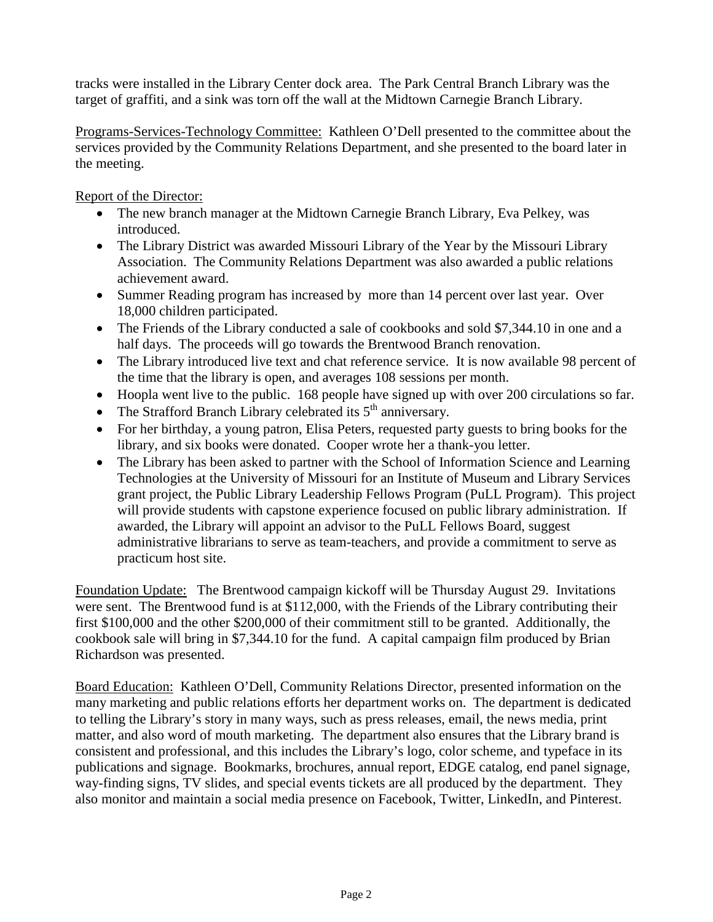tracks were installed in the Library Center dock area. The Park Central Branch Library was the target of graffiti, and a sink was torn off the wall at the Midtown Carnegie Branch Library.

Programs-Services-Technology Committee: Kathleen O'Dell presented to the committee about the services provided by the Community Relations Department, and she presented to the board later in the meeting.

Report of the Director:

- The new branch manager at the Midtown Carnegie Branch Library, Eva Pelkey, was introduced.
- The Library District was awarded Missouri Library of the Year by the Missouri Library Association. The Community Relations Department was also awarded a public relations achievement award.
- Summer Reading program has increased by more than 14 percent over last year. Over 18,000 children participated.
- The Friends of the Library conducted a sale of cookbooks and sold \$7,344.10 in one and a half days. The proceeds will go towards the Brentwood Branch renovation.
- The Library introduced live text and chat reference service. It is now available 98 percent of the time that the library is open, and averages 108 sessions per month.
- Hoopla went live to the public. 168 people have signed up with over 200 circulations so far.
- The Strafford Branch Library celebrated its  $5<sup>th</sup>$  anniversary.
- For her birthday, a young patron, Elisa Peters, requested party guests to bring books for the library, and six books were donated. Cooper wrote her a thank-you letter.
- The Library has been asked to partner with the School of Information Science and Learning Technologies at the University of Missouri for an Institute of Museum and Library Services grant project, the Public Library Leadership Fellows Program (PuLL Program). This project will provide students with capstone experience focused on public library administration. If awarded, the Library will appoint an advisor to the PuLL Fellows Board, suggest administrative librarians to serve as team-teachers, and provide a commitment to serve as practicum host site.

Foundation Update: The Brentwood campaign kickoff will be Thursday August 29. Invitations were sent. The Brentwood fund is at \$112,000, with the Friends of the Library contributing their first \$100,000 and the other \$200,000 of their commitment still to be granted. Additionally, the cookbook sale will bring in \$7,344.10 for the fund. A capital campaign film produced by Brian Richardson was presented.

Board Education: Kathleen O'Dell, Community Relations Director, presented information on the many marketing and public relations efforts her department works on. The department is dedicated to telling the Library's story in many ways, such as press releases, email, the news media, print matter, and also word of mouth marketing. The department also ensures that the Library brand is consistent and professional, and this includes the Library's logo, color scheme, and typeface in its publications and signage. Bookmarks, brochures, annual report, EDGE catalog, end panel signage, way-finding signs, TV slides, and special events tickets are all produced by the department. They also monitor and maintain a social media presence on Facebook, Twitter, LinkedIn, and Pinterest.